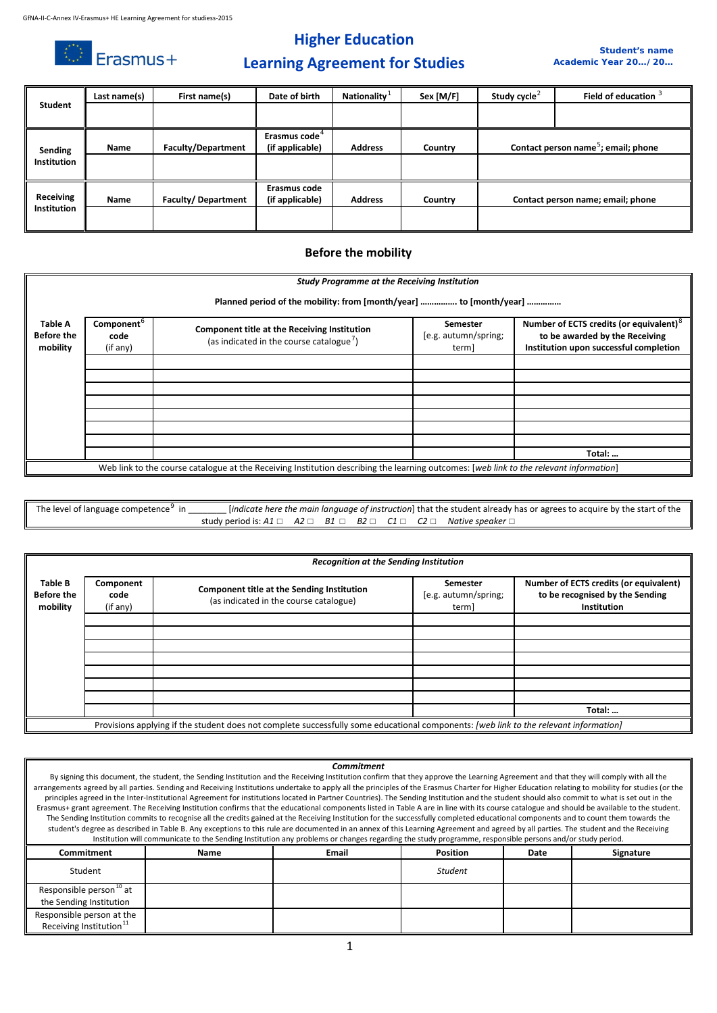$\circledcirc$  Erasmus+

## **Higher Education**



## **Learning Agreement for Studies**

| <b>Student</b>                  | Last name(s) | First name(s)             | Date of birth             | Nationality    | Sex [M/F] | Study cycle <sup>2</sup> | Field of education 3                            |
|---------------------------------|--------------|---------------------------|---------------------------|----------------|-----------|--------------------------|-------------------------------------------------|
|                                 |              |                           |                           |                |           |                          |                                                 |
|                                 |              |                           |                           |                |           |                          |                                                 |
|                                 |              |                           | Erasmus code <sup>4</sup> |                |           |                          |                                                 |
| Sending                         | Name         | <b>Faculty/Department</b> | (if applicable)           | <b>Address</b> | Country   |                          | Contact person name <sup>5</sup> ; email; phone |
| <b>Institution</b>              |              |                           |                           |                |           |                          |                                                 |
|                                 |              |                           |                           |                |           |                          |                                                 |
|                                 |              |                           | Erasmus code              |                |           |                          |                                                 |
| Receiving<br><b>Institution</b> | Name         | <b>Faculty/Department</b> | (if applicable)           | <b>Address</b> | Country   |                          | Contact person name; email; phone               |
|                                 |              |                           |                           |                |           |                          |                                                 |
|                                 |              |                           |                           |                |           |                          |                                                 |

### **Before the mobility**

|                                          | <b>Study Programme at the Receiving Institution</b><br>Planned period of the mobility: from [month/year]  to [month/year] |                                                                                                                                        |                                           |                                                                                                                                 |  |  |  |  |
|------------------------------------------|---------------------------------------------------------------------------------------------------------------------------|----------------------------------------------------------------------------------------------------------------------------------------|-------------------------------------------|---------------------------------------------------------------------------------------------------------------------------------|--|--|--|--|
| Table A<br><b>Before the</b><br>mobility | Component <sup>o</sup><br>code<br>(if any)                                                                                | Component title at the Receiving Institution<br>(as indicated in the course catalogue <sup>7</sup> )                                   | Semester<br>[e.g. autumn/spring;<br>term] | Number of ECTS credits (or equivalent) <sup>8</sup><br>to be awarded by the Receiving<br>Institution upon successful completion |  |  |  |  |
|                                          |                                                                                                                           |                                                                                                                                        |                                           |                                                                                                                                 |  |  |  |  |
|                                          |                                                                                                                           |                                                                                                                                        |                                           |                                                                                                                                 |  |  |  |  |
|                                          |                                                                                                                           |                                                                                                                                        |                                           |                                                                                                                                 |  |  |  |  |
|                                          |                                                                                                                           |                                                                                                                                        |                                           |                                                                                                                                 |  |  |  |  |
|                                          |                                                                                                                           | Web link to the course catalogue at the Receiving Institution describing the learning outcomes: [web link to the relevant information] |                                           | Total:                                                                                                                          |  |  |  |  |

#### The level of language competence<sup>[9](#page-2-8)</sup> in [*indicate here the main language of instruction*] that the student already has or agrees to acquire by the start of the study period is: *A1* ☐ *A2* ☐ *B1* ☐ *B2* ☐ *C1* ☐ *C2* ☐ *Native speaker* ☐

|                                          | <b>Recognition at the Sending Institution</b>                                                                                         |                                                                                             |                                           |                                                                                                 |  |  |  |
|------------------------------------------|---------------------------------------------------------------------------------------------------------------------------------------|---------------------------------------------------------------------------------------------|-------------------------------------------|-------------------------------------------------------------------------------------------------|--|--|--|
| Table B<br><b>Before the</b><br>mobility | Component<br>code<br>(if any)                                                                                                         | <b>Component title at the Sending Institution</b><br>(as indicated in the course catalogue) | Semester<br>[e.g. autumn/spring;<br>term] | Number of ECTS credits (or equivalent)<br>to be recognised by the Sending<br><b>Institution</b> |  |  |  |
|                                          |                                                                                                                                       |                                                                                             |                                           |                                                                                                 |  |  |  |
|                                          |                                                                                                                                       |                                                                                             |                                           |                                                                                                 |  |  |  |
|                                          |                                                                                                                                       |                                                                                             |                                           |                                                                                                 |  |  |  |
|                                          |                                                                                                                                       |                                                                                             |                                           |                                                                                                 |  |  |  |
|                                          |                                                                                                                                       |                                                                                             |                                           |                                                                                                 |  |  |  |
|                                          |                                                                                                                                       |                                                                                             |                                           |                                                                                                 |  |  |  |
|                                          |                                                                                                                                       |                                                                                             |                                           |                                                                                                 |  |  |  |
|                                          |                                                                                                                                       |                                                                                             |                                           | Total:                                                                                          |  |  |  |
|                                          | Provisions applying if the student does not complete successfully some educational components: [web link to the relevant information] |                                                                                             |                                           |                                                                                                 |  |  |  |

#### *Commitment*

By signing this document, the student, the Sending Institution and the Receiving Institution confirm that they approve the Learning Agreement and that they will comply with all the arrangements agreed by all parties. Sending and Receiving Institutions undertake to apply all the principles of the Erasmus Charter for Higher Education relating to mobility for studies (or the principles agreed in the Inter-Institutional Agreement for institutions located in Partner Countries). The Sending Institution and the student should also commit to what is set out in the Erasmus+ grant agreement. The Receiving Institution confirms that the educational components listed in Table A are in line with its course catalogue and should be available to the student. The Sending Institution commits to recognise all the credits gained at the Receiving Institution for the successfully completed educational components and to count them towards the student's degree as described in Table B. Any exceptions to this rule are documented in an annex of this Learning Agreement and agreed by all parties. The student and the Receiving Institution will communicate to the Sending Institution any problems or changes regarding the study programme, responsible persons and/or study period.

| Commitment                                                       | Name | <b>Email</b> | <b>Position</b> | Date | Signature |
|------------------------------------------------------------------|------|--------------|-----------------|------|-----------|
| Student                                                          |      |              | <b>Student</b>  |      |           |
| Responsible person <sup>10</sup> at<br>the Sending Institution   |      |              |                 |      |           |
| Responsible person at the<br>Receiving Institution <sup>11</sup> |      |              |                 |      |           |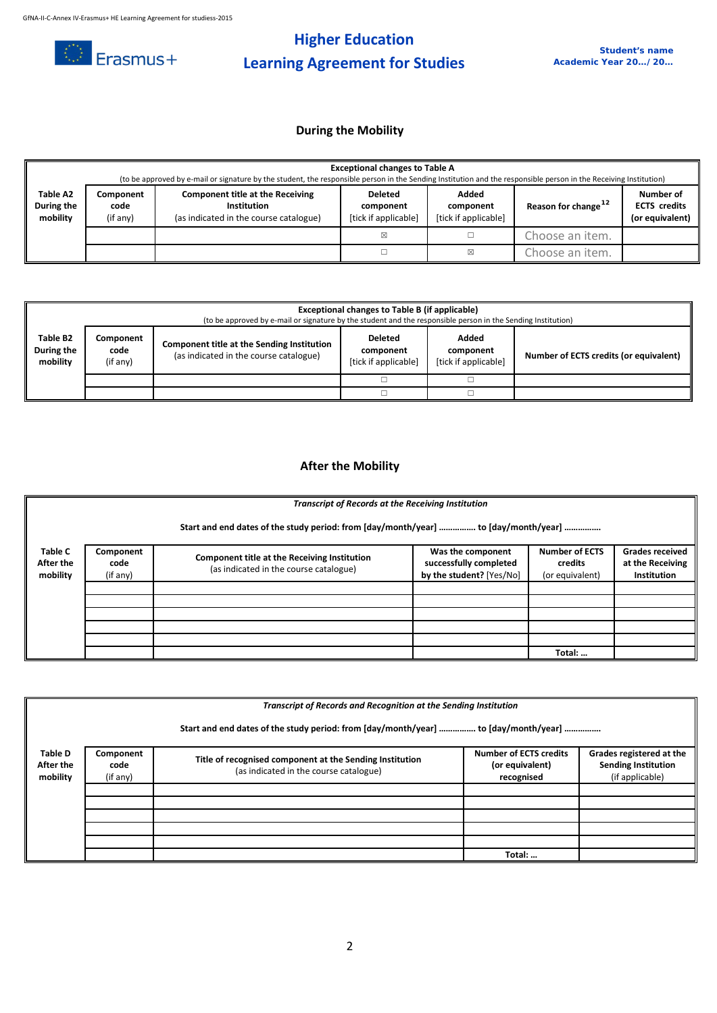

# **Higher Education Learning Agreement for Studies**

### **During the Mobility**

|                                    | <b>Exceptional changes to Table A</b><br>(to be approved by e-mail or signature by the student, the responsible person in the Sending Institution and the responsible person in the Receiving Institution) |                                                                                           |                                                     |                                            |                                 |                                                     |  |
|------------------------------------|------------------------------------------------------------------------------------------------------------------------------------------------------------------------------------------------------------|-------------------------------------------------------------------------------------------|-----------------------------------------------------|--------------------------------------------|---------------------------------|-----------------------------------------------------|--|
| Table A2<br>During the<br>mobility | Component<br>code<br>(if any)                                                                                                                                                                              | Component title at the Receiving<br>Institution<br>(as indicated in the course catalogue) | <b>Deleted</b><br>component<br>[tick if applicable] | Added<br>component<br>[tick if applicable] | Reason for change <sup>12</sup> | Number of<br><b>ECTS</b> credits<br>(or equivalent) |  |
|                                    |                                                                                                                                                                                                            |                                                                                           | ⊠                                                   |                                            | Choose an item.                 |                                                     |  |
|                                    |                                                                                                                                                                                                            |                                                                                           |                                                     | ⊠                                          | Choose an item.                 |                                                     |  |

|                                                                                                                                                                    | Exceptional changes to Table B (if applicable)<br>(to be approved by e-mail or signature by the student and the responsible person in the Sending Institution) |                                                     |                                            |                                        |  |  |  |
|--------------------------------------------------------------------------------------------------------------------------------------------------------------------|----------------------------------------------------------------------------------------------------------------------------------------------------------------|-----------------------------------------------------|--------------------------------------------|----------------------------------------|--|--|--|
| Table B2<br>Component<br><b>Component title at the Sending Institution</b><br>During the<br>code<br>(as indicated in the course catalogue)<br>mobility<br>(if any) |                                                                                                                                                                | <b>Deleted</b><br>component<br>[tick if applicable] | Added<br>component<br>[tick if applicable] | Number of ECTS credits (or equivalent) |  |  |  |
|                                                                                                                                                                    |                                                                                                                                                                |                                                     |                                            |                                        |  |  |  |
|                                                                                                                                                                    |                                                                                                                                                                |                                                     |                                            |                                        |  |  |  |

### **After the Mobility**

|                                  | <b>Transcript of Records at the Receiving Institution</b>                           |                                                                                        |                                                                         |                                                     |                                                                  |  |  |  |  |
|----------------------------------|-------------------------------------------------------------------------------------|----------------------------------------------------------------------------------------|-------------------------------------------------------------------------|-----------------------------------------------------|------------------------------------------------------------------|--|--|--|--|
|                                  | Start and end dates of the study period: from [day/month/year]  to [day/month/year] |                                                                                        |                                                                         |                                                     |                                                                  |  |  |  |  |
| Table C<br>After the<br>mobility | Component<br>code<br>(if any)                                                       | Component title at the Receiving Institution<br>(as indicated in the course catalogue) | Was the component<br>successfully completed<br>by the student? [Yes/No] | <b>Number of ECTS</b><br>credits<br>(or equivalent) | <b>Grades received</b><br>at the Receiving<br><b>Institution</b> |  |  |  |  |
|                                  |                                                                                     |                                                                                        |                                                                         |                                                     |                                                                  |  |  |  |  |
|                                  |                                                                                     |                                                                                        |                                                                         |                                                     |                                                                  |  |  |  |  |
|                                  |                                                                                     |                                                                                        |                                                                         | Total:                                              |                                                                  |  |  |  |  |

|                                         | <b>Transcript of Records and Recognition at the Sending Institution</b>             |                                                                                                    |                                                                |                                                                           |  |  |  |  |
|-----------------------------------------|-------------------------------------------------------------------------------------|----------------------------------------------------------------------------------------------------|----------------------------------------------------------------|---------------------------------------------------------------------------|--|--|--|--|
|                                         | Start and end dates of the study period: from [day/month/year]  to [day/month/year] |                                                                                                    |                                                                |                                                                           |  |  |  |  |
| <b>Table D</b><br>After the<br>mobility | Component<br>code<br>(if any)                                                       | Title of recognised component at the Sending Institution<br>(as indicated in the course catalogue) | <b>Number of ECTS credits</b><br>(or equivalent)<br>recognised | Grades registered at the<br><b>Sending Institution</b><br>(if applicable) |  |  |  |  |
|                                         |                                                                                     |                                                                                                    |                                                                |                                                                           |  |  |  |  |
|                                         |                                                                                     |                                                                                                    |                                                                |                                                                           |  |  |  |  |
|                                         |                                                                                     |                                                                                                    | Total:                                                         |                                                                           |  |  |  |  |